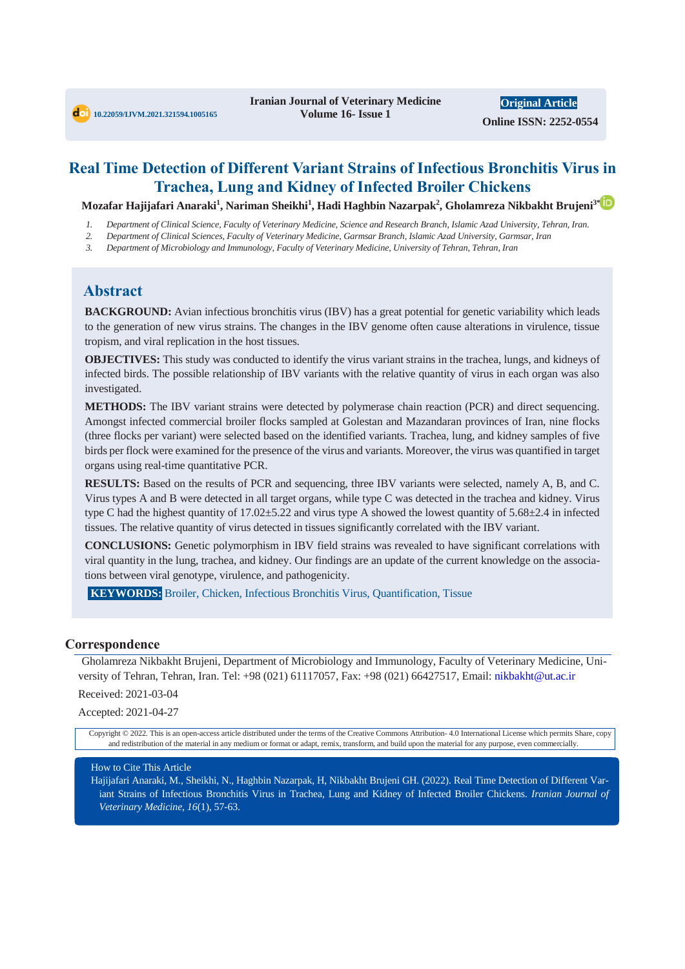**Original Article Online ISSN: 2252-0554**

# **Real Time Detection of Different Variant Strains of Infectious Bronchitis Virus in Trachea, Lung and Kidney of Infected Broiler Chickens**

**Mozafar Hajijafari Anaraki<sup>1</sup> , Nariman Sheikhi<sup>1</sup> , Hadi Haghbin Nazarpak<sup>2</sup> , Gholamreza Nikbakht Brujeni3\***

- *1. Department of Clinical Science, Faculty of Veterinary Medicine, Science and Research Branch, Islamic Azad University, Tehran, Iran.*
- *2. Department of Clinical Sciences, Faculty of Veterinary Medicine, Garmsar Branch, Islamic Azad University, Garmsar, Iran*
- *3. Department of Microbiology and Immunology, Faculty of Veterinary Medicine, University of Tehran, Tehran, Iran*

# **Abstract**

**BACKGROUND:** Avian infectious bronchitis virus (IBV) has a great potential for genetic variability which leads to the generation of new virus strains. The changes in the IBV genome often cause alterations in virulence, tissue tropism, and viral replication in the host tissues.

**OBJECTIVES:** This study was conducted to identify the virus variant strains in the trachea, lungs, and kidneys of infected birds. The possible relationship of IBV variants with the relative quantity of virus in each organ was also investigated.

**METHODS:** The IBV variant strains were detected by polymerase chain reaction (PCR) and direct sequencing. Amongst infected commercial broiler flocks sampled at Golestan and Mazandaran provinces of Iran, nine flocks (three flocks per variant) were selected based on the identified variants. Trachea, lung, and kidney samples of five birds per flock were examined for the presence of the virus and variants. Moreover, the virus was quantified in target organs using real-time quantitative PCR.

**RESULTS:** Based on the results of PCR and sequencing, three IBV variants were selected, namely A, B, and C. Virus types A and B were detected in all target organs, while type C was detected in the trachea and kidney. Virus type C had the highest quantity of 17.02±5.22 and virus type A showed the lowest quantity of 5.68±2.4 in infected tissues. The relative quantity of virus detected in tissues significantly correlated with the IBV variant.

**CONCLUSIONS:** Genetic polymorphism in IBV field strains was revealed to have significant correlations with viral quantity in the lung, trachea, and kidney. Our findings are an update of the current knowledge on the associations between viral genotype, virulence, and pathogenicity.

**KEYWORDS:** Broiler, Chicken, Infectious Bronchitis Virus, Quantification, Tissue

#### **Correspondence**

Gholamreza Nikbakht Brujeni, Department of Microbiology and Immunology, Faculty of Veterinary Medicine, University of Tehran, Tehran, Iran. Tel: +98 (021) 61117057, Fax: +98 (021) 66427517, Email: nikbakht@ut.ac.ir

Received: 2021-03-04

Accepted: 2021-04-27

Copyright © 2022. This is an open-access article distributed under the terms of the Creative Commons Attribution- 4.0 International License which permits Share, copy and redistribution of the material in any medium or format or adapt, remix, transform, and build upon the material for any purpose, even commercially.

#### How to Cite This Article

Hajijafari Anaraki, M., Sheikhi, N., Haghbin Nazarpak, H, Nikbakht Brujeni GH. (2022). Real Time Detection of Different Variant Strains of Infectious Bronchitis Virus in Trachea, Lung and Kidney of Infected Broiler Chickens*. Iranian Journal of Veterinary Medicine, 16*(1), 57-63.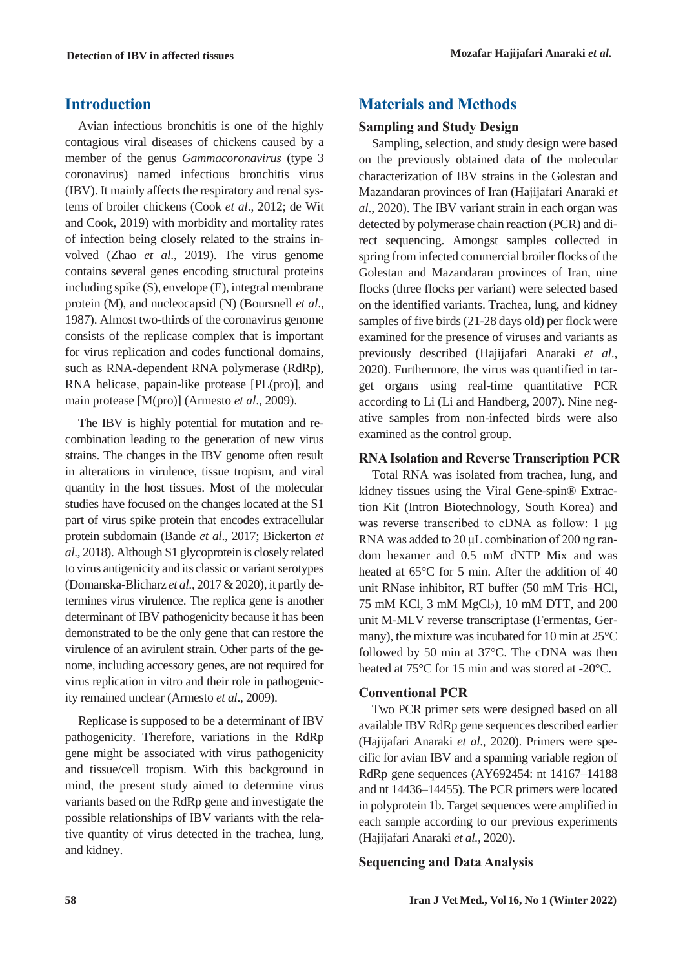# **Introduction**

Avian infectious bronchitis is one of the highly contagious viral diseases of chickens caused by a member of the genus *Gammacoronavirus* (type 3 coronavirus) named infectious bronchitis virus (IBV). It mainly affects the respiratory and renal systems of broiler chickens (Cook *et al*., 2012; de Wit and Cook, 2019) with morbidity and mortality rates of infection being closely related to the strains involved (Zhao *et al*., 2019). The virus genome contains several genes encoding structural proteins including spike (S), envelope (E), integral membrane protein (M), and nucleocapsid (N) (Boursnell *et al*., 1987). Almost two-thirds of the coronavirus genome consists of the replicase complex that is important for virus replication and codes functional domains, such as RNA-dependent RNA polymerase (RdRp), RNA helicase, papain-like protease [PL(pro)], and main protease [M(pro)] (Armesto *et al*., 2009).

The IBV is highly potential for mutation and recombination leading to the generation of new virus strains. The changes in the IBV genome often result in alterations in virulence, tissue tropism, and viral quantity in the host tissues. Most of the molecular studies have focused on the changes located at the S1 part of virus spike protein that encodes extracellular protein subdomain (Bande *et al*., 2017; Bickerton *et al*., 2018). Although S1 glycoprotein is closely related to virus antigenicity and its classic or variant serotypes (Domanska-Blicharz *et al*., 2017 & 2020), it partly determines virus virulence. The replica gene is another determinant of IBV pathogenicity because it has been demonstrated to be the only gene that can restore the virulence of an avirulent strain. Other parts of the genome, including accessory genes, are not required for virus replication in vitro and their role in pathogenicity remained unclear (Armesto *et al*., 2009).

Replicase is supposed to be a determinant of IBV pathogenicity. Therefore, variations in the RdRp gene might be associated with virus pathogenicity and tissue/cell tropism. With this background in mind, the present study aimed to determine virus variants based on the RdRp gene and investigate the possible relationships of IBV variants with the relative quantity of virus detected in the trachea, lung, and kidney.

# **Materials and Methods**

#### **Sampling and Study Design**

Sampling, selection, and study design were based on the previously obtained data of the molecular characterization of IBV strains in the Golestan and Mazandaran provinces of Iran (Hajijafari Anaraki *et al*., 2020). The IBV variant strain in each organ was detected by polymerase chain reaction (PCR) and direct sequencing. Amongst samples collected in spring from infected commercial broiler flocks of the Golestan and Mazandaran provinces of Iran, nine flocks (three flocks per variant) were selected based on the identified variants. Trachea, lung, and kidney samples of five birds (21-28 days old) per flock were examined for the presence of viruses and variants as previously described (Hajijafari Anaraki *et al*., 2020). Furthermore, the virus was quantified in target organs using real-time quantitative PCR according to Li (Li and Handberg, 2007). Nine negative samples from non-infected birds were also examined as the control group.

#### **RNA Isolation and Reverse Transcription PCR**

Total RNA was isolated from trachea, lung, and kidney tissues using the Viral Gene-spin® Extraction Kit (Intron Biotechnology, South Korea) and was reverse transcribed to cDNA as follow: 1 μg RNA was added to 20 μL combination of 200 ng random hexamer and 0.5 mM dNTP Mix and was heated at 65°C for 5 min. After the addition of 40 unit RNase inhibitor, RT buffer (50 mM Tris–HCl, 75 mM KCl, 3 mM MgCl<sub>2</sub>), 10 mM DTT, and 200 unit M-MLV reverse transcriptase (Fermentas, Germany), the mixture was incubated for 10 min at 25°C followed by 50 min at 37°C. The cDNA was then heated at 75°C for 15 min and was stored at -20°C.

#### **Conventional PCR**

Two PCR primer sets were designed based on all available IBV RdRp gene sequences described earlier (Hajijafari Anaraki *et al*., 2020). Primers were specific for avian IBV and a spanning variable region of RdRp gene sequences (AY692454: nt 14167–14188 and nt 14436–14455). The PCR primers were located in polyprotein 1b. Target sequences were amplified in each sample according to our previous experiments (Hajijafari Anaraki *et al.*, 2020).

#### **Sequencing and Data Analysis**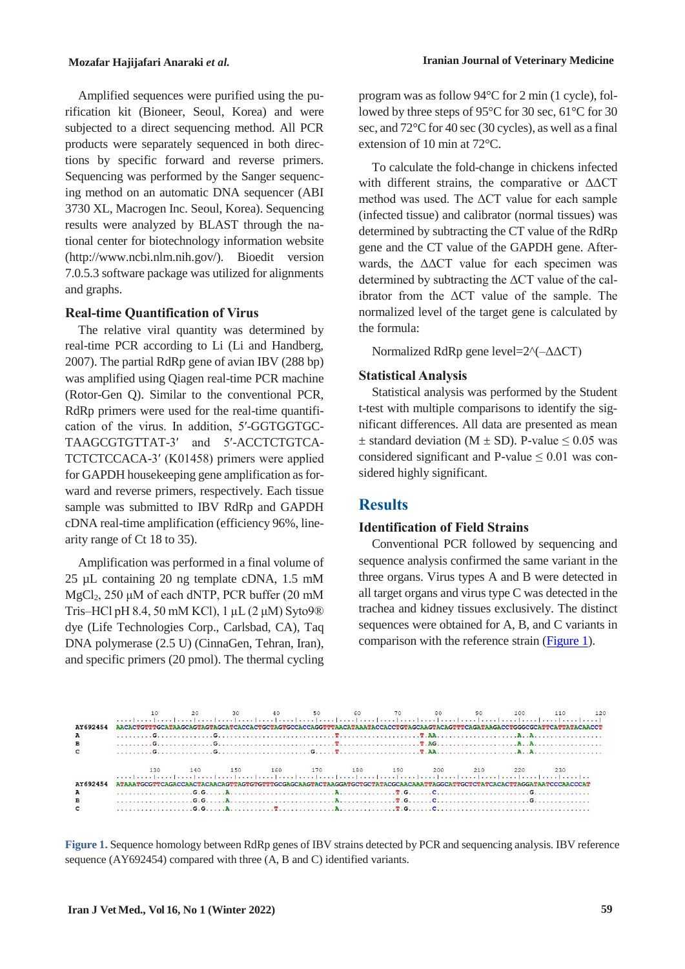Amplified sequences were purified using the purification kit (Bioneer, Seoul, Korea) and were subjected to a direct sequencing method. All PCR products were separately sequenced in both directions by specific forward and reverse primers. Sequencing was performed by the Sanger sequencing method on an automatic DNA sequencer (ABI 3730 XL, Macrogen Inc. Seoul, Korea). Sequencing results were analyzed by BLAST through the national center for biotechnology information website (http://www.ncbi.nlm.nih.gov/). Bioedit version 7.0.5.3 software package was utilized for alignments and graphs.

#### **Real-time Quantification of Virus**

The relative viral quantity was determined by real-time PCR according to Li (Li and Handberg, 2007). The partial RdRp gene of avian IBV (288 bp) was amplified using Qiagen real-time PCR machine (Rotor-Gen Q). Similar to the conventional PCR, RdRp primers were used for the real-time quantification of the virus. In addition, 5′-GGTGGTGC-TAAGCGTGTTAT-3′ and 5′-ACCTCTGTCA-TCTCTCCACA-3′ (K01458) primers were applied for GAPDH housekeeping gene amplification as forward and reverse primers, respectively. Each tissue sample was submitted to IBV RdRp and GAPDH cDNA real-time amplification (efficiency 96%, linearity range of Ct 18 to 35).

Amplification was performed in a final volume of 25 µL containing 20 ng template cDNA, 1.5 mM MgCl2, 250 μM of each dNTP, PCR buffer (20 mM Tris–HCl pH 8.4, 50 mM KCl), 1 µL (2 μM) Syto9® dye (Life Technologies Corp., Carlsbad, CA), Taq DNA polymerase (2.5 U) (CinnaGen, Tehran, Iran), and specific primers (20 pmol). The thermal cycling

program was as follow 94°C for 2 min (1 cycle), followed by three steps of 95°C for 30 sec, 61°C for 30 sec, and 72°C for 40 sec (30 cycles), as well as a final extension of 10 min at 72°C.

To calculate the fold-change in chickens infected with different strains, the comparative or ΔΔCT method was used. The ΔCT value for each sample (infected tissue) and calibrator (normal tissues) was determined by subtracting the CT value of the RdRp gene and the CT value of the GAPDH gene. Afterwards, the ΔΔCT value for each specimen was determined by subtracting the ΔCT value of the calibrator from the ΔCT value of the sample. The normalized level of the target gene is calculated by the formula:

Normalized RdRp gene level=2^(–ΔΔCT)

#### **Statistical Analysis**

Statistical analysis was performed by the Student t-test with multiple comparisons to identify the significant differences. All data are presented as mean  $\pm$  standard deviation (M  $\pm$  SD). P-value  $\leq$  0.05 was considered significant and P-value  $\leq 0.01$  was considered highly significant.

# **Results**

# **Identification of Field Strains**

Conventional PCR followed by sequencing and sequence analysis confirmed the same variant in the three organs. Virus types A and B were detected in all target organs and virus type C was detected in the trachea and kidney tissues exclusively. The distinct sequences were obtained for A, B, and C variants in comparison with the reference strain [\(Figure 1\)](#page-2-0).



<span id="page-2-0"></span>**Figure 1.** Sequence homology between RdRp genes of IBV strains detected by PCR and sequencing analysis. IBV reference sequence (AY692454) compared with three (A, B and C) identified variants.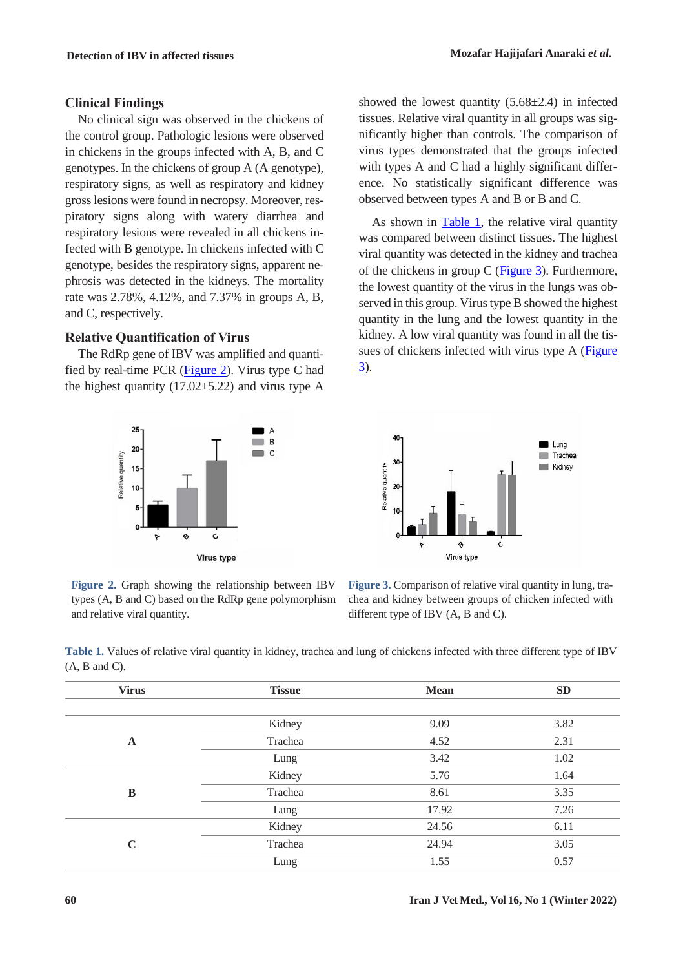#### **Clinical Findings**

No clinical sign was observed in the chickens of the control group. Pathologic lesions were observed in chickens in the groups infected with A, B, and C genotypes. In the chickens of group A (A genotype), respiratory signs, as well as respiratory and kidney gross lesions were found in necropsy. Moreover, respiratory signs along with watery diarrhea and respiratory lesions were revealed in all chickens infected with B genotype. In chickens infected with C genotype, besides the respiratory signs, apparent nephrosis was detected in the kidneys. The mortality rate was 2.78%, 4.12%, and 7.37% in groups A, B, and C, respectively.

#### **Relative Quantification of Virus**

The RdRp gene of IBV was amplified and quantified by real-time PCR [\(Figure 2\)](#page-3-0). Virus type C had the highest quantity  $(17.02 \pm 5.22)$  and virus type A



<span id="page-3-0"></span>**Figure 2.** Graph showing the relationship between IBV types (A, B and C) based on the RdRp gene polymorphism and relative viral quantity.

showed the lowest quantity  $(5.68\pm2.4)$  in infected tissues. Relative viral quantity in all groups was significantly higher than controls. The comparison of virus types demonstrated that the groups infected with types A and C had a highly significant difference. No statistically significant difference was observed between types A and B or B and C.

As shown in [Table 1,](#page-3-1) the relative viral quantity was compared between distinct tissues. The highest viral quantity was detected in the kidney and trachea of the chickens in group C [\(Figure 3\)](#page-3-2). Furthermore, the lowest quantity of the virus in the lungs was observed in this group. Virus type B showed the highest quantity in the lung and the lowest quantity in the kidney. A low viral quantity was found in all the tissues of chickens infected with virus type A [\(Figure](#page-3-2)  [3\)](#page-3-2).



<span id="page-3-2"></span>**Figure 3.** Comparison of relative viral quantity in lung, trachea and kidney between groups of chicken infected with different type of IBV (A, B and C).

<span id="page-3-1"></span>**Table 1.** Values of relative viral quantity in kidney, trachea and lung of chickens infected with three different type of IBV  $(A, B \text{ and } C).$ 

| <b>Virus</b> | <b>Tissue</b> | <b>Mean</b> | SD   |
|--------------|---------------|-------------|------|
|              |               |             |      |
| $\mathbf A$  | Kidney        | 9.09        | 3.82 |
|              | Trachea       | 4.52        | 2.31 |
|              | Lung          | 3.42        | 1.02 |
| B            | Kidney        | 5.76        | 1.64 |
|              | Trachea       | 8.61        | 3.35 |
|              | Lung          | 17.92       | 7.26 |
| $\mathbf C$  | Kidney        | 24.56       | 6.11 |
|              | Trachea       | 24.94       | 3.05 |
|              | Lung          | 1.55        | 0.57 |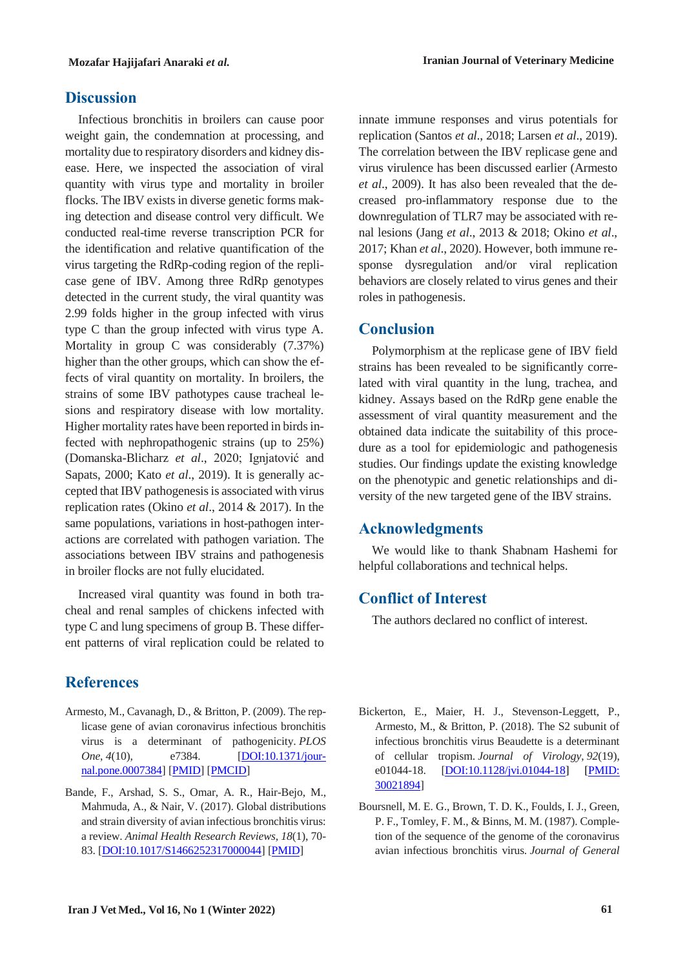#### **Discussion**

Infectious bronchitis in broilers can cause poor weight gain, the condemnation at processing, and mortality due to respiratory disorders and kidney disease. Here, we inspected the association of viral quantity with virus type and mortality in broiler flocks. The IBV exists in diverse genetic forms making detection and disease control very difficult. We conducted real-time reverse transcription PCR for the identification and relative quantification of the virus targeting the RdRp-coding region of the replicase gene of IBV. Among three RdRp genotypes detected in the current study, the viral quantity was 2.99 folds higher in the group infected with virus type C than the group infected with virus type A. Mortality in group C was considerably (7.37%) higher than the other groups, which can show the effects of viral quantity on mortality. In broilers, the strains of some IBV pathotypes cause tracheal lesions and respiratory disease with low mortality. Higher mortality rates have been reported in birds infected with nephropathogenic strains (up to 25%) (Domanska-Blicharz *et al*., 2020; Ignjatović and Sapats, 2000; Kato *et al*., 2019). It is generally accepted that IBV pathogenesis is associated with virus replication rates (Okino *et al*., 2014 & 2017). In the same populations, variations in host-pathogen interactions are correlated with pathogen variation. The associations between IBV strains and pathogenesis in broiler flocks are not fully elucidated.

Increased viral quantity was found in both tracheal and renal samples of chickens infected with type C and lung specimens of group B. These different patterns of viral replication could be related to

# **References**

- Armesto, M., Cavanagh, D., & Britton, P. (2009). The replicase gene of avian coronavirus infectious bronchitis virus is a determinant of pathogenicity. *PLOS One*, *4*(10), e7384. [DOI:10.1371/journal.pone.0007384] [PMID] [PMCID]
- Bande, F., Arshad, S. S., Omar, A. R., Hair-Bejo, M., Mahmuda, A., & Nair, V. (2017). Global distributions and strain diversity of avian infectious bronchitis virus: a review. *Animal Health Research Reviews, 18*(1), 70- 83. [DOI:10.1017/S1466252317000044] [PMID]

innate immune responses and virus potentials for replication (Santos *et al*., 2018; Larsen *et al*., 2019). The correlation between the IBV replicase gene and virus virulence has been discussed earlier (Armesto *et al*., 2009). It has also been revealed that the decreased pro-inflammatory response due to the downregulation of TLR7 may be associated with renal lesions (Jang *et al*., 2013 & 2018; Okino *et al*., 2017; Khan *et al*., 2020). However, both immune response dysregulation and/or viral replication behaviors are closely related to virus genes and their roles in pathogenesis.

#### **Conclusion**

Polymorphism at the replicase gene of IBV field strains has been revealed to be significantly correlated with viral quantity in the lung, trachea, and kidney. Assays based on the RdRp gene enable the assessment of viral quantity measurement and the obtained data indicate the suitability of this procedure as a tool for epidemiologic and pathogenesis studies. Our findings update the existing knowledge on the phenotypic and genetic relationships and diversity of the new targeted gene of the IBV strains.

# **Acknowledgments**

We would like to thank Shabnam Hashemi for helpful collaborations and technical helps.

# **Conflict of Interest**

The authors declared no conflict of interest.

- Bickerton, E., Maier, H. J., Stevenson-Leggett, P., Armesto, M., & Britton, P. (2018). The S2 subunit of infectious bronchitis virus Beaudette is a determinant of cellular tropism. *Journal of Virology*, *92*(19), e01044-18. **[DOI:10.1128/jvi.01044-18] [PMID:** 30021894]
- Boursnell, M. E. G., Brown, T. D. K., Foulds, I. J., Green, P. F., Tomley, F. M., & Binns, M. M. (1987). Completion of the sequence of the genome of the coronavirus avian infectious bronchitis virus. *Journal of General*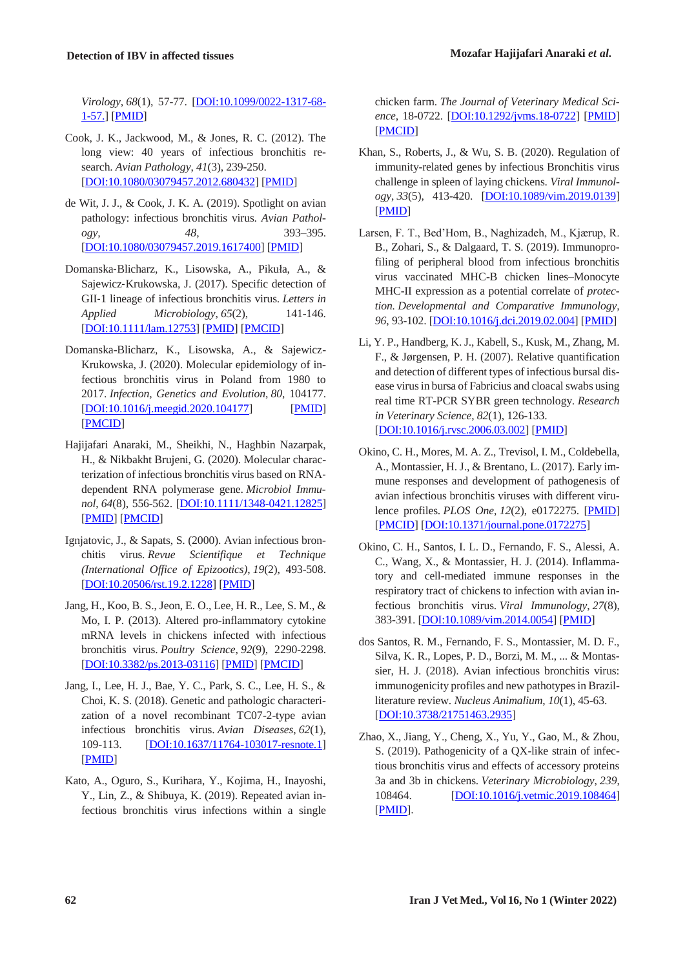*Virology*, *68*(1), 57-77. [DOI:10.1099/0022-1317-68- 1-57.] [PMID]

- Cook, J. K., Jackwood, M., & Jones, R. C. (2012). The long view: 40 years of infectious bronchitis research. *Avian Pathology*, *41*(3), 239-250. [DOI:10.1080/03079457.2012.680432] [PMID]
- de Wit, J. J., & Cook, J. K. A. (2019). Spotlight on avian pathology: infectious bronchitis virus. *Avian Pathology, 48*, 393–395. [DOI:10.1080/03079457.2019.1617400] [PMID]
- Domanska‐Blicharz, K., Lisowska, A., Pikuła, A., & Sajewicz‐Krukowska, J. (2017). Specific detection of GII‐1 lineage of infectious bronchitis virus. *Letters in Applied Microbiology*, *65*(2), 141-146. [DOI:10.1111/lam.12753] [PMID] [PMCID]
- Domanska-Blicharz, K., Lisowska, A., & Sajewicz-Krukowska, J. (2020). Molecular epidemiology of infectious bronchitis virus in Poland from 1980 to 2017. *Infection, Genetics and Evolution*, *80*, 104177. [DOI:10.1016/j.meegid.2020.104177] [PMID] [PMCID]
- Hajijafari Anaraki, M., Sheikhi, N., Haghbin Nazarpak, H., & Nikbakht Brujeni, G. (2020). Molecular characterization of infectious bronchitis virus based on RNA‐ dependent RNA polymerase gene. *Microbiol Immunol*, *64*(8), 556-562. [DOI:10.1111/1348-0421.12825] [PMID] [PMCID]
- Ignjatovic, J., & Sapats, S. (2000). Avian infectious bronchitis virus. *Revue Scientifique et Technique (International Office of Epizootics)*, *19*(2), 493-508. [DOI:10.20506/rst.19.2.1228] [PMID]
- Jang, H., Koo, B. S., Jeon, E. O., Lee, H. R., Lee, S. M., & Mo, I. P. (2013). Altered pro-inflammatory cytokine mRNA levels in chickens infected with infectious bronchitis virus. *Poultry Science*, *92*(9), 2290-2298. [DOI:10.3382/ps.2013-03116] [PMID] [PMCID]
- Jang, I., Lee, H. J., Bae, Y. C., Park, S. C., Lee, H. S., & Choi, K. S. (2018). Genetic and pathologic characterization of a novel recombinant TC07-2-type avian infectious bronchitis virus. *Avian Diseases*, *62*(1), 109-113. **[DOI:10.1637/11764-103017-resnote.1]** [PMID]
- Kato, A., Oguro, S., Kurihara, Y., Kojima, H., Inayoshi, Y., Lin, Z., & Shibuya, K. (2019). Repeated avian infectious bronchitis virus infections within a single

chicken farm. *The Journal of Veterinary Medical Science*, 18-0722. [DOI:10.1292/jvms.18-0722] [PMID] [PMCID]

- Khan, S., Roberts, J., & Wu, S. B. (2020). Regulation of immunity-related genes by infectious Bronchitis virus challenge in spleen of laying chickens. *Viral Immunology*, *33*(5), 413-420. [DOI:10.1089/vim.2019.0139] [PMID]
- Larsen, F. T., Bed'Hom, B., Naghizadeh, M., Kjærup, R. B., Zohari, S., & Dalgaard, T. S. (2019). Immunoprofiling of peripheral blood from infectious bronchitis virus vaccinated MHC-B chicken lines–Monocyte MHC-II expression as a potential correlate of *protection. Developmental and Comparative Immunology, 96*, 93-102. [DOI:10.1016/j.dci.2019.02.004] [PMID]
- Li, Y. P., Handberg, K. J., Kabell, S., Kusk, M., Zhang, M. F., & Jørgensen, P. H. (2007). Relative quantification and detection of different types of infectious bursal disease virus in bursa of Fabricius and cloacal swabs using real time RT-PCR SYBR green technology. *Research in Veterinary Science*, *82*(1), 126-133. [DOI:10.1016/j.rvsc.2006.03.002] [PMID]
- Okino, C. H., Mores, M. A. Z., Trevisol, I. M., Coldebella, A., Montassier, H. J., & Brentano, L. (2017). Early immune responses and development of pathogenesis of avian infectious bronchitis viruses with different virulence profiles. *PLOS One*, *12*(2), e0172275. [PMID] [PMCID] [DOI:10.1371/journal.pone.0172275]
- Okino, C. H., Santos, I. L. D., Fernando, F. S., Alessi, A. C., Wang, X., & Montassier, H. J. (2014). Inflammatory and cell-mediated immune responses in the respiratory tract of chickens to infection with avian infectious bronchitis virus. *Viral Immunology*, *27*(8), 383-391. [DOI:10.1089/vim.2014.0054] [PMID]
- dos Santos, R. M., Fernando, F. S., Montassier, M. D. F., Silva, K. R., Lopes, P. D., Borzi, M. M., ... & Montassier, H. J. (2018). Avian infectious bronchitis virus: immunogenicity profiles and new pathotypes in Brazilliterature review. *Nucleus Animalium*, *10*(1), 45-63. [DOI:10.3738/21751463.2935]
- Zhao, X., Jiang, Y., Cheng, X., Yu, Y., Gao, M., & Zhou, S. (2019). Pathogenicity of a QX-like strain of infectious bronchitis virus and effects of accessory proteins 3a and 3b in chickens. *Veterinary Microbiology*, *239*, 108464. **[DOI:10.1016/j.vetmic.2019.108464]** [PMID].